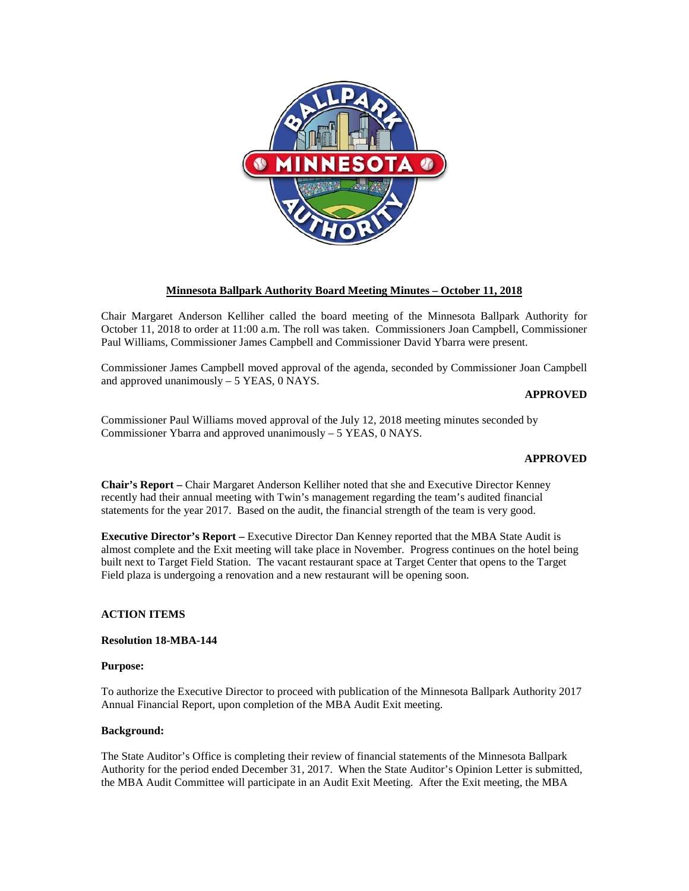

### **Minnesota Ballpark Authority Board Meeting Minutes – October 11, 2018**

Chair Margaret Anderson Kelliher called the board meeting of the Minnesota Ballpark Authority for October 11, 2018 to order at 11:00 a.m. The roll was taken. Commissioners Joan Campbell, Commissioner Paul Williams, Commissioner James Campbell and Commissioner David Ybarra were present.

Commissioner James Campbell moved approval of the agenda, seconded by Commissioner Joan Campbell and approved unanimously – 5 YEAS, 0 NAYS.

### **APPROVED**

Commissioner Paul Williams moved approval of the July 12, 2018 meeting minutes seconded by Commissioner Ybarra and approved unanimously – 5 YEAS, 0 NAYS.

### **APPROVED**

**Chair's Report –** Chair Margaret Anderson Kelliher noted that she and Executive Director Kenney recently had their annual meeting with Twin's management regarding the team's audited financial statements for the year 2017. Based on the audit, the financial strength of the team is very good.

**Executive Director's Report –** Executive Director Dan Kenney reported that the MBA State Audit is almost complete and the Exit meeting will take place in November. Progress continues on the hotel being built next to Target Field Station. The vacant restaurant space at Target Center that opens to the Target Field plaza is undergoing a renovation and a new restaurant will be opening soon.

### **ACTION ITEMS**

## **Resolution 18-MBA-144**

### **Purpose:**

To authorize the Executive Director to proceed with publication of the Minnesota Ballpark Authority 2017 Annual Financial Report, upon completion of the MBA Audit Exit meeting.

### **Background:**

The State Auditor's Office is completing their review of financial statements of the Minnesota Ballpark Authority for the period ended December 31, 2017. When the State Auditor's Opinion Letter is submitted, the MBA Audit Committee will participate in an Audit Exit Meeting. After the Exit meeting, the MBA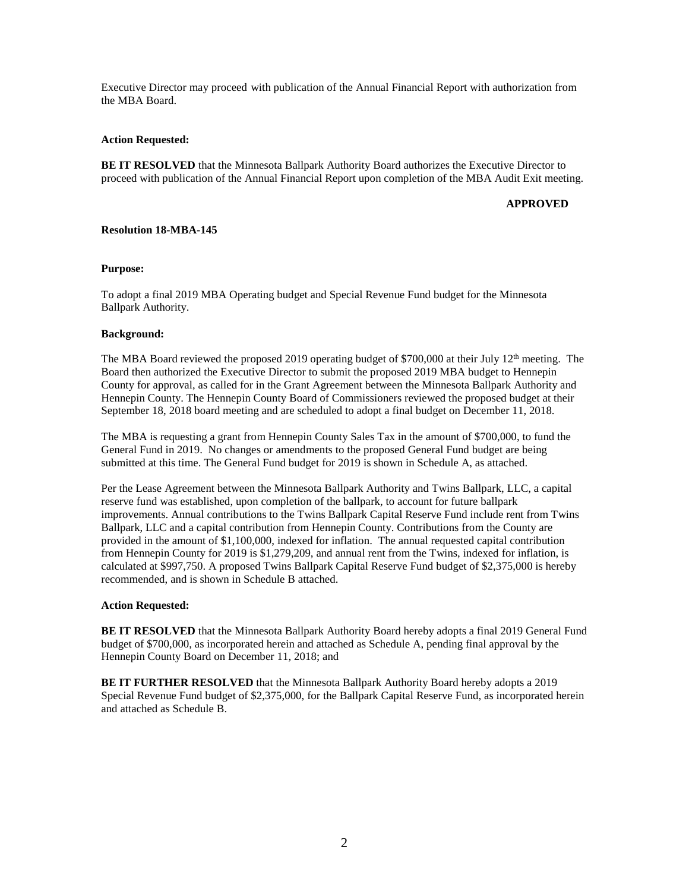Executive Director may proceed with publication of the Annual Financial Report with authorization from the MBA Board.

### **Action Requested:**

**BE IT RESOLVED** that the Minnesota Ballpark Authority Board authorizes the Executive Director to proceed with publication of the Annual Financial Report upon completion of the MBA Audit Exit meeting.

### **APPROVED**

### **Resolution 18-MBA-145**

### **Purpose:**

To adopt a final 2019 MBA Operating budget and Special Revenue Fund budget for the Minnesota Ballpark Authority.

### **Background:**

The MBA Board reviewed the proposed 2019 operating budget of \$700,000 at their July  $12<sup>th</sup>$  meeting. The Board then authorized the Executive Director to submit the proposed 2019 MBA budget to Hennepin County for approval, as called for in the Grant Agreement between the Minnesota Ballpark Authority and Hennepin County. The Hennepin County Board of Commissioners reviewed the proposed budget at their September 18, 2018 board meeting and are scheduled to adopt a final budget on December 11, 2018.

The MBA is requesting a grant from Hennepin County Sales Tax in the amount of \$700,000, to fund the General Fund in 2019. No changes or amendments to the proposed General Fund budget are being submitted at this time. The General Fund budget for 2019 is shown in Schedule A, as attached.

Per the Lease Agreement between the Minnesota Ballpark Authority and Twins Ballpark, LLC, a capital reserve fund was established, upon completion of the ballpark, to account for future ballpark improvements. Annual contributions to the Twins Ballpark Capital Reserve Fund include rent from Twins Ballpark, LLC and a capital contribution from Hennepin County. Contributions from the County are provided in the amount of \$1,100,000, indexed for inflation. The annual requested capital contribution from Hennepin County for 2019 is \$1,279,209, and annual rent from the Twins, indexed for inflation, is calculated at \$997,750. A proposed Twins Ballpark Capital Reserve Fund budget of \$2,375,000 is hereby recommended, and is shown in Schedule B attached.

### **Action Requested:**

**BE IT RESOLVED** that the Minnesota Ballpark Authority Board hereby adopts a final 2019 General Fund budget of \$700,000, as incorporated herein and attached as Schedule A, pending final approval by the Hennepin County Board on December 11, 2018; and

**BE IT FURTHER RESOLVED** that the Minnesota Ballpark Authority Board hereby adopts a 2019 Special Revenue Fund budget of \$2,375,000, for the Ballpark Capital Reserve Fund, as incorporated herein and attached as Schedule B.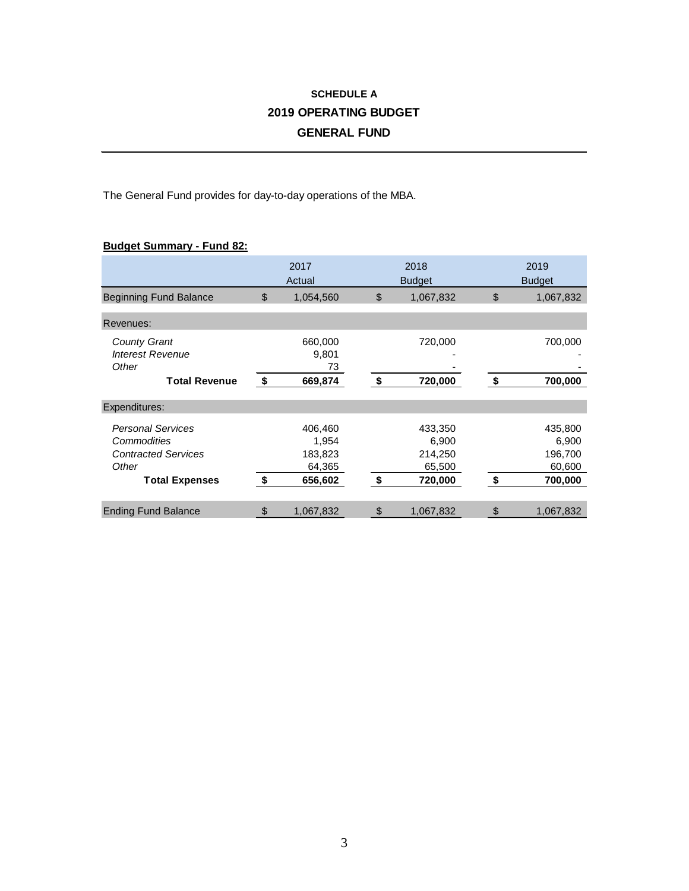# **SCHEDULE A 2019 OPERATING BUDGET GENERAL FUND**

The General Fund provides for day-to-day operations of the MBA.

# **Budget Summary - Fund 82:**

|                                                                                                         | 2017<br>Actual |                                                  |    | 2018<br><b>Budget</b>                            | 2019<br><b>Budget</b>                                  |  |  |
|---------------------------------------------------------------------------------------------------------|----------------|--------------------------------------------------|----|--------------------------------------------------|--------------------------------------------------------|--|--|
| <b>Beginning Fund Balance</b>                                                                           | \$             | 1,054,560                                        | \$ | 1,067,832                                        | \$<br>1,067,832                                        |  |  |
| Revenues:                                                                                               |                |                                                  |    |                                                  |                                                        |  |  |
| <b>County Grant</b><br><b>Interest Revenue</b><br>Other                                                 |                | 660,000<br>9,801<br>73                           |    | 720,000                                          | 700,000                                                |  |  |
| <b>Total Revenue</b>                                                                                    | \$             | 669,874                                          | \$ | 720,000                                          | \$<br>700,000                                          |  |  |
| Expenditures:                                                                                           |                |                                                  |    |                                                  |                                                        |  |  |
| <b>Personal Services</b><br>Commodities<br><b>Contracted Services</b><br>Other<br><b>Total Expenses</b> | \$             | 406,460<br>1,954<br>183,823<br>64,365<br>656,602 | \$ | 433,350<br>6,900<br>214,250<br>65,500<br>720,000 | \$<br>435,800<br>6,900<br>196,700<br>60,600<br>700,000 |  |  |
| <b>Ending Fund Balance</b>                                                                              | \$             | 1,067,832                                        | \$ | 1,067,832                                        | \$<br>1,067,832                                        |  |  |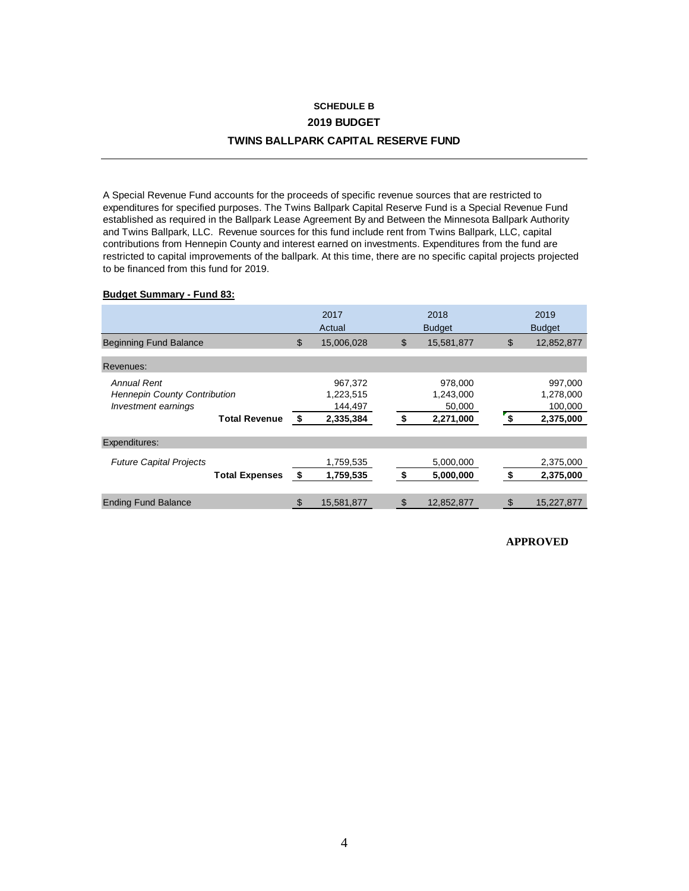# **SCHEDULE B 2019 BUDGET TWINS BALLPARK CAPITAL RESERVE FUND**

A Special Revenue Fund accounts for the proceeds of specific revenue sources that are restricted to expenditures for specified purposes. The Twins Ballpark Capital Reserve Fund is a Special Revenue Fund established as required in the Ballpark Lease Agreement By and Between the Minnesota Ballpark Authority and Twins Ballpark, LLC. Revenue sources for this fund include rent from Twins Ballpark, LLC, capital contributions from Hennepin County and interest earned on investments. Expenditures from the fund are restricted to capital improvements of the ballpark. At this time, there are no specific capital projects projected to be financed from this fund for 2019.

### **Budget Summary - Fund 83:**

|                                     |    | 2017<br>Actual | 2018<br><b>Budget</b> |    | 2019<br><b>Budget</b> |
|-------------------------------------|----|----------------|-----------------------|----|-----------------------|
| <b>Beginning Fund Balance</b>       | \$ | 15,006,028     | \$<br>15,581,877      | \$ | 12,852,877            |
| Revenues:                           |    |                |                       |    |                       |
| Annual Rent                         |    | 967,372        | 978,000               |    | 997,000               |
| <b>Hennepin County Contribution</b> |    | 1,223,515      | 1,243,000             |    | 1,278,000             |
| Investment earnings                 |    | 144,497        | 50,000                |    | 100,000               |
| <b>Total Revenue</b>                | \$ | 2,335,384      | \$<br>2,271,000       | 5  | 2,375,000             |
| Expenditures:                       |    |                |                       |    |                       |
| <b>Future Capital Projects</b>      |    | 1,759,535      | 5,000,000             |    | 2,375,000             |
| <b>Total Expenses</b>               | \$ | 1,759,535      | \$<br>5,000,000       | \$ | 2,375,000             |
|                                     |    |                |                       |    |                       |
| <b>Ending Fund Balance</b>          | \$ | 15,581,877     | \$<br>12,852,877      |    | 15,227,877            |

**APPROVED**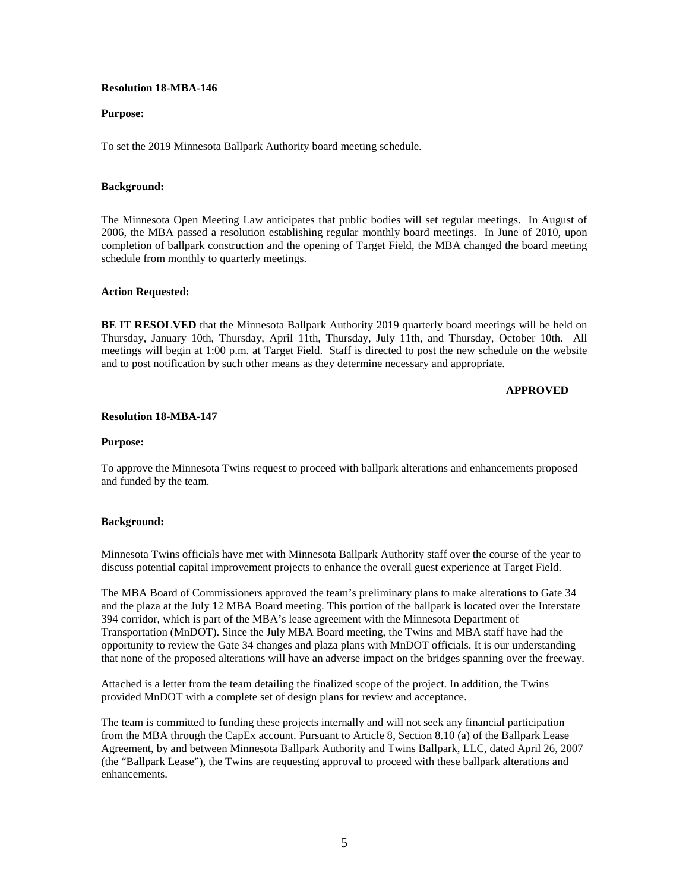### **Resolution 18-MBA-146**

### **Purpose:**

To set the 2019 Minnesota Ballpark Authority board meeting schedule.

### **Background:**

The Minnesota Open Meeting Law anticipates that public bodies will set regular meetings. In August of 2006, the MBA passed a resolution establishing regular monthly board meetings. In June of 2010, upon completion of ballpark construction and the opening of Target Field, the MBA changed the board meeting schedule from monthly to quarterly meetings.

### **Action Requested:**

**BE IT RESOLVED** that the Minnesota Ballpark Authority 2019 quarterly board meetings will be held on Thursday, January 10th, Thursday, April 11th, Thursday, July 11th, and Thursday, October 10th. All meetings will begin at 1:00 p.m. at Target Field. Staff is directed to post the new schedule on the website and to post notification by such other means as they determine necessary and appropriate.

### **APPROVED**

### **Resolution 18-MBA-147**

#### **Purpose:**

To approve the Minnesota Twins request to proceed with ballpark alterations and enhancements proposed and funded by the team.

### **Background:**

Minnesota Twins officials have met with Minnesota Ballpark Authority staff over the course of the year to discuss potential capital improvement projects to enhance the overall guest experience at Target Field.

The MBA Board of Commissioners approved the team's preliminary plans to make alterations to Gate 34 and the plaza at the July 12 MBA Board meeting. This portion of the ballpark is located over the Interstate 394 corridor, which is part of the MBA's lease agreement with the Minnesota Department of Transportation (MnDOT). Since the July MBA Board meeting, the Twins and MBA staff have had the opportunity to review the Gate 34 changes and plaza plans with MnDOT officials. It is our understanding that none of the proposed alterations will have an adverse impact on the bridges spanning over the freeway.

Attached is a letter from the team detailing the finalized scope of the project. In addition, the Twins provided MnDOT with a complete set of design plans for review and acceptance.

The team is committed to funding these projects internally and will not seek any financial participation from the MBA through the CapEx account. Pursuant to Article 8, Section 8.10 (a) of the Ballpark Lease Agreement, by and between Minnesota Ballpark Authority and Twins Ballpark, LLC, dated April 26, 2007 (the "Ballpark Lease"), the Twins are requesting approval to proceed with these ballpark alterations and enhancements.